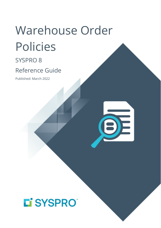# Warehouse Order Policies

SYSPRO 8

# Reference Guide

Published: March 2022



# L'SYSPRO®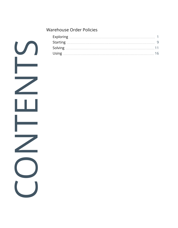#### [Warehouse](#page-2-0) Order Policies

CONTENTS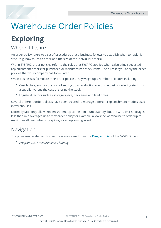<span id="page-2-0"></span>

# <span id="page-2-1"></span>**Exploring**

# Where it fits in?

An order policy refers to a set of procedures that a business follows to establish when to replenish stock (e.g. how much to order and the size of the individual orders).

Within SYSPRO, order policies refer to the rules that SYSPRO applies when calculating suggested replenishment orders for purchased or manufactured stock items. The rules let you apply the order policies that your company has formulated.

When businesses formulate their order policies, they weigh up a number of factors including:

- Cost factors, such as the cost of setting up a production run or the cost of ordering stock from a supplier versus the cost of storing the stock.
- Ξ Logistical factors such as storage space, pack sizes and lead times.

Several different order policies have been created to manage different replenishment models used in warehouses.

Normally MRP only allows replenishment up to the minimum quantity, but the O - Cover shortages less than min overages up to max order policy for example, allows the warehouse to order up to maximum allowed when stockpiling for an upcoming event.

# Navigation

The programs related to this feature are accessed from the **Program List** of the SYSPRO menu:

*Program List > Requirements Planning*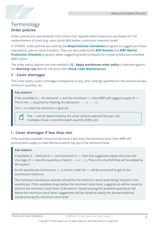### Terminology **Order policies**

Order policies are standardized instructions that regulate when material is purchased for the replenishment of stock (e.g. when stock falls below a minimum inventory level).

In SYSPRO, order policies are used by the **Requirements Calculation** program to suggest purchase requisitions, jobs or stock transfers. They are also used by the **MPS Review** and **MRP Master Production Schedule** programs when suggesting build schedules for master production schedule (MPS) items.

The order policy options are only enabled if **Q - Apply warehouse order policy** is selected against the **Batching rule** field for the stock item (**Stock Code Maintenance**).

#### **C - Cover shortages**

This order policy covers shortages irrespective of any other settings specified for the warehouse like minimum quantity, etc.

#### **FOR EXAMPLE:**

If the available is 7, the demand 40 and the minimum 20, then MRP will suggest supply of 33. This is the 33 required to meeting the demand  $(7 - 40 = 33)$ .

The 20 to meet the minimum is ignored.

The 33 will be determined by the other options selected like pan size, multiples of pan, economic batch quantity (EBQ), etc.

#### **I - Cover shortages if less than min**

If the quantity available minus the demand is less than the minimum level, then MRP will recommend supply to meet demand *and* to top up to the minimum level.

#### **FOR EXAMPLE:**

If available is 7, demand is 40 and minimum is 20, then the suggested supply will cover the shortage of 40, less the quantity on hand  $(7 - 40 = -33)$ . This is the shortfall that will be added by the system.

As the warehouse minimum is 35, a further order for 35 will be produced to get to the warehouse minimum.

The minimum warehouse quantity should be the minimum stock level being retained in the warehouse. If the available drops below the minimum stock level, suggestions will be raised to achieve the minimum stock level. If demand is raised causing the available quantity to fall below the minimum stock level, suggestions will be raised to satisfy the demand without compromising the minimum stock level.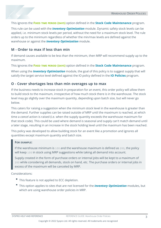

This ignores the **FIXED TIME PERIOD (DAYS)** option defined in the **Stock Code Maintenance** program.

This rule can be used with the *Inventory Optimization* module. Dynamic safety stock levels can be applied, i.e. minimum stock levels per period, without the need for a maximum stock level. The rule orders up to the minimum regardless of whether the min/max levels are defined against the warehouse or against the *Inventory Optimization* module.

#### **M - Order to max if less than min**

If demand causes available to be less than the minimum, then MRP will recommend supply up to the maximum.

This ignores the **FIXED TIME PERIOD (DAYS)** option defined in the **Stock Code Maintenance** program.

When using the *Inventory Optimization* module, the goal of this policy is to suggest supply that will satisfy the target service level defined against the IO policy defined in the **IO Policies** program.

#### **O - Cover shortages less than min overages up to max**

If the business needs to increase stock in preparation for an event, this order policy will allow them to build stock to the maximum, irrespective of how much stock there is in the warehouse. The stock level may go slightly over the maximum quantity, depending upon batch size, but will never go below.

This caters for raising a suggestion when the minimum stock level in the warehouse is greater than the demand. Further supplies can be raised outside of MRP until the maximum is reached, at which time a *cancel* action is raised (i.e. when the supply quantity exceeds the warehouse maximum for that stock code). This could be used where demand is seasonal and supply can't match demand until a later stage, resulting in an increase in the stock holding level until the maximum has been reached.

This policy was developed to allow building stock for an event like a promotion and ignores all quantities except maximum quantity and batch size.

#### **FOR EXAMPLE:**

If the warehouse minimum is 100 and the warehouse maximum is defined as 200, the policy will keep 100 in stock using MRP suggestions while taking all demand into account.

Supply created in the form of purchase orders or internal jobs will be kept to a maximum of 200 while considering all demands, stock on hand, etc. The purchase orders or internal jobs in excess of the maximum will be canceled by MRP.

Considerations:

- This feature is not applied to ECC depletion.
- This option applies to sites that are not licensed for the *Inventory Optimization* modules, but which are using warehouse order policies in MRP.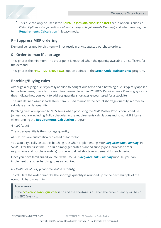This rule can only be used if the **SCHEDULE JOBS AND PURCHASE ORDERS** setup option is enabled (*Setup Options > Configuration > Manufacturing > Requirements Planning*) and when running the **Requirements Calculation** in legacy mode.

#### **P - Suppress MRP ordering**

Demand generated for this item will not result in any suggested purchase orders.

#### **S - Order to max if shortage**

This ignores the minimum. The order point is reached when the quantity available is insufficient for the demand.

This ignores the **FIXED TIME PERIOD (DAYS)** option defined in the **Stock Code Maintenance** program.

#### **Batching/Buying rules**

Although a buying rule is typically applied to bought-out items and a batching rule is typically applied to made-in items, these terms are interchangeable within SYSPRO's Requirements Planning system they indicate how you want to address quantity shortages encountered for a stock item.

The rule defined against each stock item is used to modify the actual shortage quantity in order to calculate an order quantity.

Batching rules are applied to MPS items when producing the MRP Master Production Schedule (unless you are including Build schedules in the requirements calculation) and to non-MPS items when running the **Requirements Calculation** program.

#### *A - Lot for lot*

The order quantity is the shortage quantity.

All sub jobs are automatically created as lot for lot.

You would typically select this batching rule when implementing MRP (*Requirements Planning*) in SYSPRO for the first time. The rule simply generates planned supply (jobs, purchase order requisitions and purchase orders) for the actual net shortage in demand for each period.

Once you have familiarized yourself with SYSPRO's *Requirements Planning* module, you can implement the other batching rules as required.

#### *B - Multiples of EBQ (economic batch quantity)*

To calculate the order quantity, the shortage quantity is rounded up to the next multiple of the economic batch quantity.

#### **FOR EXAMPLE:**

If the **ECONOMIC BATCH QUANTITY** is 10 and the shortage is 32, then the order quantity will be 40.  $4 \times$  EBQ  $(10) = 40$ .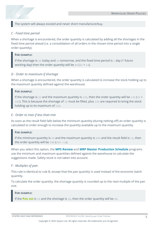The system will always exceed and never short manufacture/buy.

#### *C - Fixed time period*

When a shortage is encountered, the order quantity is calculated by adding all the shortages in the fixed time period ahead (i.e. a consolidation of all orders in the chosen time period into a single order quantity).

#### **FOR EXAMPLE:**

If the shortage is 32 today and 14 tomorrow, and the fixed time period is 1 day (1 future working day) then the order quantity will be  $46$  ( $32 + 14$ ).

#### *D - Order to maximum if shortage*

When a shortage is encountered, the order quantity is calculated to increase the stock holding up to the maximum quantity defined against the warehouse.

#### **FOR EXAMPLE:**

If the shortage is 32 and the maximum quantity is 100, then the order quantity will be 132 (32 + 100). This is because the shortage of 32 must be filled, plus 100 are required to bring the stock holding up to its maximum of 100.

#### *E - Order to max if less than min*

As soon as the result field falls below the minimum quantity (during netting-off) an order quantity is calculated to order enough to increase the quantity available up to the maximum quantity.

#### **FOR EXAMPLE:**

If the minimum quantity is 50 and the maximum quantity is 200 and the result field is 12, then the order quantity will be 188 (200 - 12).

When you select this option, the **MPS Review** and **MRP Master Production Schedule** programs use the minimum and maximum quantities defined against the warehouse to calculate the suggestions made. Safety stock is not taken into account.

#### *F - Multiples of pan*

This rule is identical to rule B, except that the pan quantity is used instead of the economic batch quantity.

To calculate the order quantity, the shortage quantity is rounded up to the next multiple of the pan size.

#### **FOR EXAMPLE:**

If the **PAN SIZE** is 10 and the shortage is 32, then the order quantity will be 40.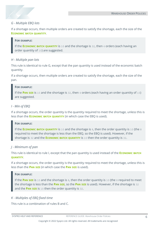

#### *G - Multiple EBQ lots*

If a shortage occurs, then multiple orders are created to satisfy the shortage, each the size of the **ECONOMIC BATCH QUANTITY**.

#### **FOR EXAMPLE:**

If the **ECONOMIC BATCH QUANTITY** is 10 and the shortage is 32, then 4 orders (each having an order quantity of 10) are suggested.

#### *H - Multiple pan lots*

This rule is identical to rule G, except that the pan quantity is used instead of the economic batch quantity.

If a shortage occurs, then multiple orders are created to satisfy the shortage, each the size of the pan.

#### **FOR EXAMPLE:**

If the **PAN SIZE** is 10 and the shortage is 32, then 4 orders (each having an order quantity of 10) are suggested.

#### *I - Min of EBQ*

If a shortage occurs, the order quantity is the quantity required to meet the shortage, unless this is less than the **ECONOMIC BATCH QUANTITY** (in which case the EBQ is used).

#### **FOR EXAMPLE:**

If the **ECONOMIC BATCH QUANTITY** is 10 and the shortage is 8, then the order quantity is 10 (the 8 required to meet the shortage is less than the EBQ, so the EBQ is used). However, if the shortage is 32 and the **ECONOMIC BATCH QUANTITY** is 10 then the order quantity is 32.

#### *J - Minimum of pan*

This rule is identical to rule I, except that the pan quantity is used instead of the **ECONOMIC BATCH QUANTITY**.

If a shortage occurs, the order quantity is the quantity required to meet the shortage, unless this is less than the **PAN SIZE** (in which case the **PAN SIZE** is used).

#### **FOR EXAMPLE:**

If the **PAN SIZE** is 10 and the shortage is 8, then the order quantity is 10 (the 8 required to meet the shortage is less than the **PAN SIZE**, so the **PAN SIZE** is used). However, if the shortage is 32 and the **PAN SIZE** is 10 then the order quantity is 32.

#### *K - Multiples of EBQ fixed time*

This rule is a combination of rules B and C.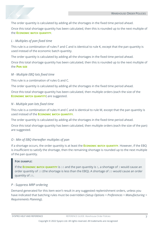

Once this total shortage quantity has been calculated, then this is rounded up to the next multiple of the **ECONOMIC BATCH QUANTITY**.

#### *L - Multiples of pan fixed time*

This rule is a combination of rules F and C and is identical to rule K, except that the pan quantity is used instead of the economic batch quantity.

The order quantity is calculated by adding all the shortages in the fixed time period ahead.

Once this total shortage quantity has been calculated, then this is rounded up to the next multiple of the **PAN SIZE**

#### *M - Multiple EBQ lots fixed time*

This rule is a combination of rules G and C.

The order quantity is calculated by adding all the shortages in the fixed time period ahead.

Once this total shortage quantity has been calculated, then multiple orders (each the size of the **ECONOMIC BATCH QUANTITY**) are suggested.

#### *N - Multiple pan lots fixed time*

This rule is a combination of rules H and C and is identical to rule M, except that the pan quantity is used instead of the **ECONOMIC BATCH QUANTITY**.

The order quantity is calculated by adding all the shortages in the fixed time period ahead.

Once this total shortage quantity has been calculated, then multiple orders (each the size of the pan) are suggested.

#### *O - Min of EBQ thereafter multiples of pan*

If a shortage occurs, the order quantity is at least the **ECONOMIC BATCH QUANTITY**. However, if the EBQ is insufficient to satisfy the shortage, then the remaining shortage is rounded up to the next multiple of the pan quantity.

#### **FOR EXAMPLE:**

If the **ECONOMIC BATCH QUANTITY** is 10 and the pan quantity is 5, a shortage of 3 would cause an order quantity of 10 (the shortage is less than the EBQ). A shortage of 23 would cause an order quantity of 25.

#### *P - Suppress MRP ordering*

Demand generated for this item won't result in any suggested replenishment orders, unless you have indicated that batching rules must be overridden (*Setup Options > Preferences > Manufacturing > Requirements Planning*).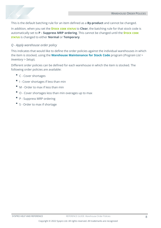

This is the default batching rule for an item defined as a **By-product** and cannot be changed.

In addition, when you set the **STOCK CODE STATUS** to **Clear**, the batching rule for that stock code is automatically set to **P - Suppress MRP ordering**. This cannot be changed until the **STOCK CODE STATUS** is changed to either **Normal** or **Temporary**.

#### *Q - Apply warehouse order policy*

This indicates that would like to define the order policies against the individual warehouses in which the item is stocked, using the **Warehouse Maintenance for Stock Code** program (*Program List > Inventory > Setup*).

Different order policies can be defined for each warehouse in which the item is stocked. The following order policies are available:

- C Cover shortages
- Ξ I - Cover shortages if less than min
- M Order to max if less than min
- $\blacksquare$  O Cover shortages less than min overages up to max
- P Suppress MRP ordering
- S Order to max if shortage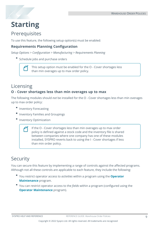# <span id="page-10-0"></span>**Starting**

# **Prerequisites**

To use this feature, the following setup option(s) must be enabled:

#### **Requirements Planning Configuration**

*Setup Options > Configuration > Manufacturing > Requirements Planning*

Schedule jobs and purchase orders

This setup option must be enabled for the O - Cover shortages less than min overages up to max order policy.

# Licensing

#### **O - Cover shortages less than min overages up to max**

The following modules should *not* be installed for the O - Cover shortages less than min overages up to max order policy:

- Inventory Forecasting
- Inventory Families and Groupings
- Inventory Optimization

If the O - Cover shortages less than min overages up to max order policy is defined against a stock code and the inventory file is shared between companies where one company has one of these modules installed, SYSPRO reverts back to using the I - Cover shortages if less than min order policy.

# Security

You can secure this feature by implementing a range of controls against the affected programs. Although not all these controls are applicable to each feature, they include the following:

- You restrict operator access to *activities* within a program using the **Operator Maintenance** program.
- You can restrict operator access to the *fields* within a program (configured using the **Operator Maintenance** program).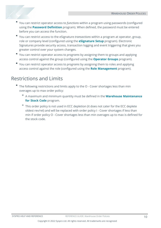- You can restrict operator access to *functions* within a program using passwords (configured using the **Password Definition** program). When defined, the password must be entered before you can access the function.
- You can restrict access to the eSignature *transactions* within a program at operator, group, role or company level (configured using the **eSignature Setup** program). Electronic Signatures provide security access, transaction logging and event triggering that gives you greater control over your system changes.
- You can restrict operator access to *programs* by assigning them to groups and applying access control against the group (configured using the **Operator Groups** program).
- You can restrict operator access to *programs* by assigning them to roles and applying access control against the role (configured using the **Role Management** program).

# Restrictions and Limits

- $\Box$ The following restrictions and limits apply to the O - Cover shortages less than min overages up to max order policy:
	- A maximum and minimum quantity must be defined in the **Warehouse Maintenance for Stock Code** program.
	- $P$  This order policy is not used in ECC depletion (it does not cater for the ECC deplete oldest rev/rel) and will be replaced with order policy I - Cover shortages if less than min if order policy O - Cover shortages less than min overages up to max is defined for the stock code.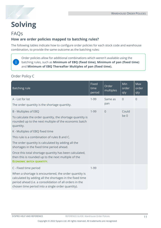<span id="page-12-0"></span>

# **Solving**

### FAQs

### **How are order policies mapped to batching rules?**

The following tables indicate how to configure order policies for each stock code and warehouse combination, to provide the same outcome as the batching rules:

Order policies allow for additional combinations which weren't available using the batching rules, such as **Minimum of EBQ (fixed time)**, **Minimum of pan (fixed time)** and **Minimum of EBQ Thereafter Multiples of pan (fixed time).**

#### Order Policy C

| <b>Batching rule</b>                                                                                                                                                                                                              | Fixed<br>time<br>period | Order<br>multiples | Min<br>order<br>qty | Max<br>order<br>qty |
|-----------------------------------------------------------------------------------------------------------------------------------------------------------------------------------------------------------------------------------|-------------------------|--------------------|---------------------|---------------------|
| A - Lot for lot                                                                                                                                                                                                                   | $1 - 99$                | Same as            | $\overline{0}$      | $\overline{0}$      |
| The order quantity is the shortage quantity.                                                                                                                                                                                      |                         | pan                |                     |                     |
| <b>B</b> - Multiples of EBQ<br>To calculate the order quantity, the shortage quantity is                                                                                                                                          | $1 - 99$                | $\overline{0}$     | Could<br>be 0       |                     |
| rounded up to the next multiple of the economic batch<br>quantity.                                                                                                                                                                |                         |                    |                     |                     |
| K - Multiples of EBQ fixed time                                                                                                                                                                                                   |                         |                    |                     |                     |
| This rule is a combination of rules B and C.                                                                                                                                                                                      |                         |                    |                     |                     |
| The order quantity is calculated by adding all the<br>shortages in the fixed time period ahead.                                                                                                                                   |                         |                    |                     |                     |
| Once this total shortage quantity has been calculated,<br>then this is rounded up to the next multiple of the<br><b>ECONOMIC BATCH QUANTITY.</b>                                                                                  |                         |                    |                     |                     |
| C - Fixed time period                                                                                                                                                                                                             | $1 - 99$                |                    |                     |                     |
| When a shortage is encountered, the order quantity is<br>calculated by adding all the shortages in the fixed time<br>period ahead (i.e. a consolidation of all orders in the<br>chosen time period into a single order quantity). |                         |                    |                     |                     |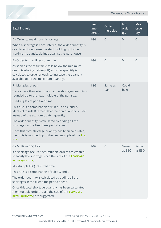| <b>Batching rule</b>                                                                                                                                                                                      | <b>Fixed</b><br>time<br>period | Order<br>multiples | Min<br>order<br>qty | Max<br>order<br>qty |
|-----------------------------------------------------------------------------------------------------------------------------------------------------------------------------------------------------------|--------------------------------|--------------------|---------------------|---------------------|
| D - Order to maximum if shortage                                                                                                                                                                          | $1 - 99$                       | $\overline{0}$     | 0                   | $\overline{0}$      |
| When a shortage is encountered, the order quantity is<br>calculated to increase the stock holding up to the<br>maximum quantity defined against the warehouse.                                            |                                |                    |                     |                     |
| E - Order to max if less than min                                                                                                                                                                         | $1 - 99$                       | $\overline{0}$     | $\overline{0}$      | $\overline{0}$      |
| As soon as the result field falls below the minimum<br>quantity (during netting-off) an order quantity is<br>calculated to order enough to increase the quantity<br>available up to the maximum quantity. |                                |                    |                     |                     |
| F - Multiples of pan                                                                                                                                                                                      | $1 - 99$                       | Same as            | Could               |                     |
| To calculate the order quantity, the shortage quantity is<br>rounded up to the next multiple of the pan size.                                                                                             |                                | pan                | be 0                |                     |
| L - Multiples of pan fixed time                                                                                                                                                                           |                                |                    |                     |                     |
| This rule is a combination of rules F and C and is<br>identical to rule K, except that the pan quantity is used<br>instead of the economic batch quantity.                                                |                                |                    |                     |                     |
| The order quantity is calculated by adding all the<br>shortages in the fixed time period ahead.                                                                                                           |                                |                    |                     |                     |
| Once this total shortage quantity has been calculated,<br>then this is rounded up to the next multiple of the PAN<br><b>SIZE</b>                                                                          |                                |                    |                     |                     |
| G - Multiple EBQ lots                                                                                                                                                                                     | $1 - 99$                       | $\overline{0}$     | Same                | Same                |
| If a shortage occurs, then multiple orders are created<br>to satisfy the shortage, each the size of the <b>ECONOMIC</b><br><b>BATCH QUANTITY.</b>                                                         |                                |                    | as EBQ              | as EBQ              |
| M - Multiple EBQ lots fixed time                                                                                                                                                                          |                                |                    |                     |                     |
| This rule is a combination of rules G and C.                                                                                                                                                              |                                |                    |                     |                     |
| The order quantity is calculated by adding all the<br>shortages in the fixed time period ahead.                                                                                                           |                                |                    |                     |                     |
| Once this total shortage quantity has been calculated,<br>then multiple orders (each the size of the <b>ECONOMIC</b><br><b>BATCH QUANTITY)</b> are suggested.                                             |                                |                    |                     |                     |

XE P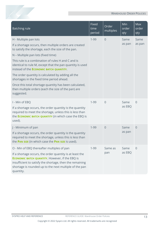| <b>Batching rule</b>                                                                                                                                                                                                                                                                                                                                                                                                                                                                                                                                                        | <b>Fixed</b><br>time<br>period | Order<br>multiples | Min<br><u>o</u> rder<br>qty | Max<br>order<br>qty |
|-----------------------------------------------------------------------------------------------------------------------------------------------------------------------------------------------------------------------------------------------------------------------------------------------------------------------------------------------------------------------------------------------------------------------------------------------------------------------------------------------------------------------------------------------------------------------------|--------------------------------|--------------------|-----------------------------|---------------------|
| H - Multiple pan lots<br>If a shortage occurs, then multiple orders are created<br>to satisfy the shortage, each the size of the pan.<br>N - Multiple pan lots (fixed time)<br>This rule is a combination of rules H and C and is<br>identical to rule M, except that the pan quantity is used<br>instead of the ECONOMIC BATCH QUANTITY.<br>The order quantity is calculated by adding all the<br>shortages in the fixed time period ahead.<br>Once this total shortage quantity has been calculated,<br>then multiple orders (each the size of the pan) are<br>suggested. | $1 - 99$                       | $\overline{0}$     | Same<br>as pan              | Same<br>as pan      |
| I - Min of EBQ<br>If a shortage occurs, the order quantity is the quantity<br>required to meet the shortage, unless this is less than<br>the <b>ECONOMIC BATCH QUANTITY</b> (in which case the EBQ is<br>used).                                                                                                                                                                                                                                                                                                                                                             | $1 - 99$                       | $\overline{0}$     | Same<br>as EBQ              | $\overline{0}$      |
| J - Minimum of pan<br>If a shortage occurs, the order quantity is the quantity<br>required to meet the shortage, unless this is less than<br>the PAN SIZE (in which case the PAN SIZE is used).                                                                                                                                                                                                                                                                                                                                                                             |                                | $\overline{0}$     | Same<br>as pan              | $\overline{0}$      |
| O - Min of EBQ thereafter multiples of pan<br>If a shortage occurs, the order quantity is at least the<br><b>ECONOMIC BATCH QUANTITY.</b> However, if the EBQ is<br>insufficient to satisfy the shortage, then the remaining<br>shortage is rounded up to the next multiple of the pan<br>quantity.                                                                                                                                                                                                                                                                         | $1 - 99$                       | Same as<br>pan     | Same<br>as EBQ              | $\overline{0}$      |

100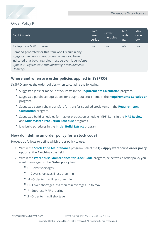

#### Order Policy P

| Batching rule                                                                                                                                                                                                                          | Fixed<br>time<br>period | Order<br>multiples | Min<br>order<br>qty | <b>Max</b><br>order<br>qty |
|----------------------------------------------------------------------------------------------------------------------------------------------------------------------------------------------------------------------------------------|-------------------------|--------------------|---------------------|----------------------------|
| P - Suppress MRP ordering                                                                                                                                                                                                              | n/a                     | n/a                | n/a                 | n/a                        |
| Demand generated for this item won't result in any<br>suggested replenishment orders, unless you have<br>indicated that batching rules must be overridden (Setup<br>Options > Preferences > Manufacturing > Requirements<br>Planning). |                         |                    |                     |                            |

#### **Where and when are order policies applied in SYSPRO?**

SYSPRO applies the order policies when calculating the following:

- Suggested jobs for made-in stock items in the **Requirements Calculation** program.
- Suggested purchase requisitions for bought-out stock items in the **Requirements Calculation** program.
- Suggested supply chain transfers for transfer-supplied stock items in the **Requirements Calculation** program.
- Suggested build schedules for master production schedule (MPS) items in the **MPS Review** and **MRP Master Production Schedule** programs.
- Live build schedules in the **Initial Build Extract** program.

#### **How do I define an order policy for a stock code?**

Proceed as follows to define which order policy to use:

- 1. Within the **Stock Code Maintenance** program, select the **Q - Apply warehouse order policy** option at the **Batching rule** field.
- 2. Within the **Warehouse Maintenance for Stock Code** program, select which order policy you want to use against the **Order policy** field:
	- C Cover shortages
	- $\blacksquare$  I Cover shortages if less than min
	- $M -$  Order to max if less than min
	- $\Box$  O Cover shortages less than min overages up to max
	- P Suppress MRP ordering
	- S Order to max if shortage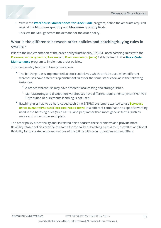3. Within the **Warehouse Maintenance for Stock Code** program, define the amounts required against the **Minimum quantity** and **Maximum quantity** fields.

This lets the MRP generate the demand for the order policy.

#### **What is the difference between order policies and batching/buying rules in SYSPRO?**

Prior to the implementation of the order policy functionality, SYSPRO used batching rules with the **ECONOMIC BATCH QUANTITY**, **PAN SIZE** and **FIXED TIME PERIOD (DAYS)** fields defined in the **Stock Code Maintenance** program to implement order policies.

This functionality has the following limitations:

- The batching rule is implemented at stock code level, which can't be used when different warehouses have different replenishment rules for the same stock code, as in the following instances:
	- $P$  A branch warehouse may have different local costing and storage issues.
	- Manufacturing and distribution warehouses have different requirements (when SYSPRO's Distribution Requirements Planning is not used).
- Batching rules had to be hard-coded each time SYSPRO customers wanted to use **ECONOMIC BATCH QUANTITY**/**PAN SIZE**/**FIXED TIME PERIOD (DAYS)** in a different combination as specific wording used in the batching rules (such as EBQ and pan) rather than more generic terms (such as major and minor order multiples).

The order policy functionality and its related fields address these problems and provide more flexibility. Order policies provide the same functionality as batching rules A to P, as well as additional flexibility for to create new combinations of fixed time with order quantities and modifiers.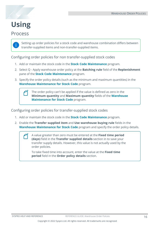

# <span id="page-17-0"></span>**Using**

### Process

Setting up order policies for a stock code and warehouse combination differs between transfer-supplied items and non-transfer-supplied items.

Configuring order policies for non transfer-supplied stock codes

- 1. Add or maintain the stock code in the **Stock Code Maintenance** program.
- 2. Select Q Apply warehouse order policy at the **Batching rule** field of the **Replenishment** pane of the **Stock Code Maintenance** program.
- 3. Specify the order policy details (such as the minimum and maximum quantities) in the **Warehouse Maintenance for Stock Code** program.

The order policy can't be applied if the value is defined as zero in the **Minimum quantity** and **Maximum quantity** fields of the **Warehouse Maintenance for Stock Code** program.

Configuring order policies for transfer-supplied stock codes

- 1. Add or maintain the stock code in the **Stock Code Maintenance** program.
- 2. Enable the **Transfer supplied item** and **Use warehouse buying rule** fields in the **Warehouse Maintenance for Stock Code** program and specify the order policy details.

A value greater than zero must be entered at the **Fixed time period (days)** field in the **Transfer supplied details** section in to save your transfer supply details. However, this value is not actually used by the order policies.

To take fixed time into account, enter the value at the **Fixed time period** field in the **Order policy details** section.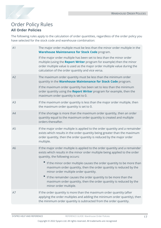

### Order Policy Rules **All Order Policies**

The following rules apply to the calculation of order quantities, regardless of the order policy you have selected for the stock code and warehouse combination:

| A1             | The major order multiple must be less than the minor order multiple in the<br><b>Warehouse Maintenance for Stock Code program.</b>                                                                                                                                                                                    |
|----------------|-----------------------------------------------------------------------------------------------------------------------------------------------------------------------------------------------------------------------------------------------------------------------------------------------------------------------|
|                | If the major order multiple has been set to less than the minor order<br>multiple (using the Report Writer program for example) then the minor<br>order multiple value is used as the major order multiple value during the<br>calculation of the order quantity and vice versa.                                      |
| A2             | The maximum order quantity must be less than the minimum order<br>quantity in the Warehouse Maintenance for Stock Code program.<br>If the maximum order quantity has been set to less than the minimum<br>order quantity using the Report Writer program for example, then the<br>maximum order quantity is set to 0. |
| A3             | If the maximum order quantity is less than the major order multiple, then<br>the maximum order quantity is set to 0.                                                                                                                                                                                                  |
| A4             | If the shortage is more than the maximum order quantity, then an order<br>quantity equal to the maximum order quantity is created and multiple<br>orders thereafter.                                                                                                                                                  |
| A <sub>5</sub> | If the major order multiple is applied to the order quantity and a remainder<br>exists which results in the order quantity being greater than the maximum<br>order quantity, then the order quantity is reduced by the major order<br>multiple.                                                                       |
| A6             | If the major order multiple is applied to the order quantity and a remainder<br>exists which results in the minor order multiple being applied to the order<br>quantity, the following occurs:                                                                                                                        |
|                | If the minor order multiple causes the order quantity to be more than<br>maximum order quantity, then the order quantity is reduced by the<br>minor order multiple order quantity.                                                                                                                                    |
|                | If the remainder causes the order quantity to be more than the<br>maximum order quantity, then the order quantity is reduced by the<br>minor order multiple.                                                                                                                                                          |
| A7             | If the order quantity is more than the maximum order quantity (after<br>applying the order multiples and adding the minimum order quantity), then<br>the minimum order quantity is subtracted from the order quantity.                                                                                                |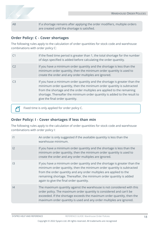A8 If a shortage remains after applying the order modifiers, multiple orders are created until the shortage is satisfied.

#### **Order Policy: C - Cover shortages**

The following rules apply to the calculation of order quantities for stock code and warehouse combinations with order policy C:

|    | If the fixed time period is greater than 1, the total shortage for the number<br>of days specified is added before calculating the order quantity.                                                                                                                                                                                          |
|----|---------------------------------------------------------------------------------------------------------------------------------------------------------------------------------------------------------------------------------------------------------------------------------------------------------------------------------------------|
|    | If you have a minimum order quantity and the shortage is less than the<br>minimum order quantity, then the minimum order quantity is used to<br>create the order and any order multiples are ignored.                                                                                                                                       |
| C3 | If you have a minimum order quantity and the shortage is greater than the<br>minimum order quantity, then the minimum order quantity is subtracted<br>from the shortage and the order multiples are applied to the remaining<br>shortage. Thereafter the minimum order quantity is added to the result to<br>give the final order quantity. |
|    |                                                                                                                                                                                                                                                                                                                                             |

Fixed time is only applied for order policy C.

#### **Order Policy: I - Cover shortages if less than min**

The following rules apply to the calculation of order quantities for stock code and warehouse combinations with order policy I:

| 1  | An order is only suggested if the available quantity is less than the<br>warehouse minimum.                                                                                                                                                                                                                                                |
|----|--------------------------------------------------------------------------------------------------------------------------------------------------------------------------------------------------------------------------------------------------------------------------------------------------------------------------------------------|
| 12 | If you have a minimum order quantity and the shortage is less than the<br>minimum order quantity, then the minimum order quantity is used to<br>create the order and any order multiples are ignored.                                                                                                                                      |
| 3  | If you have a minimum order quantity and the shortage is greater than the<br>minimum order quantity, then the minimum order quantity is subtracted<br>from the order quantity and any order multiples are applied to the<br>remaining shortage. Thereafter, the minimum order quantity is added<br>again to give the final order quantity. |
| 4  | The maximum quantity against the warehouse is not considered with this<br>order policy. The maximum order quantity is considered and can't be<br>exceeded. If the shortage exceeds the maximum order quantity, then the<br>maximum order quantity is used and any order multiples are ignored.                                             |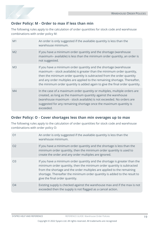

#### **Order Policy: M - Order to max if less than min**

The following rules apply to the calculation of order quantities for stock code and warehouse combinations with order policy M:

| M <sub>1</sub> | An order is only suggested if the available quantity is less than the<br>warehouse minimum.                                                                                                                                                                                                                                                                                      |
|----------------|----------------------------------------------------------------------------------------------------------------------------------------------------------------------------------------------------------------------------------------------------------------------------------------------------------------------------------------------------------------------------------|
| M <sub>2</sub> | If you have a minimum order quantity and the shortage (warehouse<br>maximum- available) is less than the minimum order quantity, an order is<br>not suggested.                                                                                                                                                                                                                   |
| M <sub>3</sub> | If you have a minimum order quantity and the shortage (warehouse<br>maximum - stock available) is greater than the minimum order quantity,<br>then the minimum order quantity is subtracted from the order quantity<br>and any order multiples are applied to the remaining shortage. Thereafter,<br>the minimum order quantity is added again to give the final order quantity. |
| M4             | In the case of a maximum order quantity or multiples, multiple orders are<br>created, as long as the maximum quantity against the warehouse<br>(warehouse maximum - stock available) is not exceeded. No orders are<br>suggested for any remaining shortage once the maximum quantity is<br>exceeded.                                                                            |

#### **Order Policy: O - Cover shortages less than min overages up to max**

The following rules apply to the calculation of order quantities for stock code and warehouse combinations with order policy O:

| O <sub>1</sub> | An order is only suggested if the available quantity is less than the<br>warehouse minimum.                                                                                                                                                                                                                                                 |
|----------------|---------------------------------------------------------------------------------------------------------------------------------------------------------------------------------------------------------------------------------------------------------------------------------------------------------------------------------------------|
| O <sub>2</sub> | If you have a minimum order quantity and the shortage is less than the<br>minimum order quantity, then the minimum order quantity is used to<br>create the order and any order multiples are ignored.                                                                                                                                       |
| O <sub>3</sub> | If you have a minimum order quantity and the shortage is greater than the<br>minimum order quantity, then the minimum order quantity is subtracted<br>from the shortage and the order multiples are applied to the remaining<br>shortage. Thereafter the minimum order quantity is added to the result to<br>give the final order quantity. |
| O <sub>4</sub> | Existing supply is checked against the warehouse max and if the max is not<br>exceeded then the supply is not flagged as a cancel action.                                                                                                                                                                                                   |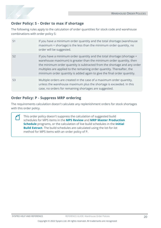

#### **Order Policy: S - Order to max if shortage**

The following rules apply to the calculation of order quantities for stock code and warehouse combinations with order policy S:

| $\mathsf{S}1$  | If you have a minimum order quantity and the total shortage (warehouse<br>maximum + shortage) is the less than the minimum order quantity, no<br>order will be suggested.                                                                                                                                                                                                       |
|----------------|---------------------------------------------------------------------------------------------------------------------------------------------------------------------------------------------------------------------------------------------------------------------------------------------------------------------------------------------------------------------------------|
| S <sub>2</sub> | If you have a minimum order quantity and the total shortage (shortage +<br>warehouse maximum) is greater than the minimum order quantity, then<br>the minimum order quantity is subtracted from the shortage and any order<br>multiples are applied to the remaining order quantity. Thereafter, the<br>minimum order quantity is added again to give the final order quantity. |
| S <sub>3</sub> | Multiple orders are created in the case of a maximum order quantity,<br>unless the warehouse maximum plus the shortage is exceeded. In this<br>case, no orders for remaining shortages are suggested.                                                                                                                                                                           |

#### **Order Policy: P - Suppress MRP ordering**

The requirements calculation doesn't calculate any replenishment orders for stock shortages with this order policy.

This order policy doesn't suppress the calculation of suggested build schedules for MPS items in the **MPS Review** and **MRP Master Production Schedule** programs, or the calculation of live build schedules in the **Initial Build Extract**. The build schedules are calculated using the lot-for-lot method for MPS items with an order policy of P.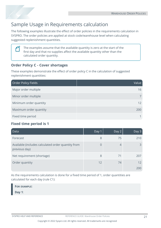

# Sample Usage in Requirements calculation

The following examples illustrate the effect of order policies in the requirements calculation in SYSPRO. The order policies are applied at stock code/warehouse level when calculating suggested replenishment quantities.



The examples assume that the available quantity is zero at the start of the first day and that no supplies affect the available quantity other than the calculated order quantity.

#### **Order Policy C - Cover shortages**

These examples demonstrate the effect of order policy C in the calculation of suggested replenishment quantities:

| Order Policy Fields    | Value <sup>'</sup> |
|------------------------|--------------------|
| Major order multiple   | 16                 |
| Minor order multiple   |                    |
| Minimum order quantity | 12                 |
| Maximum order quantity | 200                |
| Fixed time period      |                    |

#### **Fixed time period is 1**

| Data                                                                | Day 1  | Day 2 | Day 3 |
|---------------------------------------------------------------------|--------|-------|-------|
| Forecast                                                            | 8      | 75    | 210   |
| Available (includes calculated order quantity from<br>previous day) | $\cup$ | 4     |       |
| Net requirement (shortage)                                          | 8      | 71    | 207   |
| Order quantity                                                      | 12     | 74    | 12    |
|                                                                     |        |       | 200   |

As the requirements calculation is done for a fixed time period of 1, order quantities are calculated for each day (rule C1):

**FOR EXAMPLE:**

**Day 1**: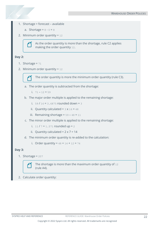- 1. Shortage = forecast available
	- a. Shortage =  $8 0 = 8$
- 2. Minimum order quantity =  $12$

As the order quantity is more than the shortage, rule C2 applies making the order quantity 12.

#### **Day 2:**

- 1. Shortage =  $71$
- 2. Minimum order quantity = 12



The order quantity is more the minimum order quantity (rule C3).

- a. The order quantity is subtracted from the shortage:
	- i. 71 12 = 59
- b. The major order multiple is applied to the remaining shortage:
	- i.  $59 / 16 = 3.6875$  rounded down = 3
	- ii. Quantity calculated =  $3 \times 16 = 48$
	- iii. Remaining shortage =  $59 48 = 11$
- c. The minor order multiple is applied to the remaining shortage:
	- i.  $11 / 7 = 1.571$  rounded up = 2
	- ii. Quantity calculated =  $2 \times 7 = 14$
- d. The minimum order quantity is re-added to the calculation:
	- i. Order quantity =  $48 + 14 + 12 = 74$

#### **Day 3:**

1. Shortage =  $207$ 



The shortage is more than the maximum order quantity of 12 (rule A4).

2. Calculate order quantity: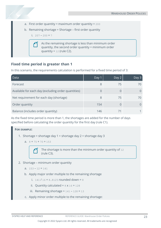- a. First order quantity = maximum order quantity =  $200$
- b. Remaining shortage = Shortage first order quantity

i.  $207 - 200 = 7$ 

As the remaining shortage is less than minimum order quantity, the second order quantity = minimum order quantity =  $12$  (rule C2).

#### **Fixed time period is greater than 1**

In this scenario, the requirements calculation is performed for a fixed time period of 3:

| Data                                                | Day 1 | Day 2 | Day $3$ |
|-----------------------------------------------------|-------|-------|---------|
| Forecast                                            | 8     | 75    |         |
| Available for each day (excluding order quantities) |       |       |         |
| Net requirement for each day (shortage)             | 8     | 75    | 70.     |
| Order quantity                                      | 154   | 0     |         |
| Balance (includes order quantity)                   | 146   |       |         |

As the fixed time period is more than 1, the shortages are added for the number of days specified before calculating the order quantity for the first day (rule C1).

#### **FOR EXAMPLE:**

- 1. Shortage = shortage day  $1 +$  shortage day  $2 =$  shortage day 3
	- a.  $8 + 75 + 70 = 153$

The shortage is more than the minimum order quantity of 12 (rule C3).

2. Shortage – minimum order quantity

```
a. 153 - 12 = 141
```
- b. Apply major order multiple to the remaining shortage
	- i.  $141 / 16 = 8.8125$  rounded down = 8
	- ii. Quantity calculated =  $8 \times 16 = 128$
	- iii. Remaining shortage =  $141 128 = 13$
- c. Apply minor order multiple to the remaining shortage: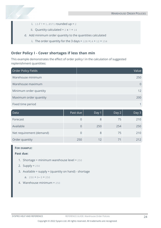- i.  $13 / 7 = 1.8571$  rounded up = 2
- ii. Quantity calculated =  $2 \times 7 = 14$
- d. Add minimum order quantity to the quantities calculated
	- i. The order quantity for the 3 days =  $128 + 14 + 12 = 154$

#### **Order Policy I - Cover shortages if less than min**

This example demonstrates the effect of order policy I in the calculation of suggested replenishment quantities:

| Order Policy Fields    | Value |
|------------------------|-------|
| Warehouse minimum      | 250   |
| Warehouse maximum      | 0     |
| Minimum order quantity | 12    |
| Maximum order quantity | 200   |
| Fixed time period      |       |

| Data                     | Past due l | Day 1 | Day 2 | Day 3 |
|--------------------------|------------|-------|-------|-------|
| Forecast                 |            |       | 75    | 210   |
| Available                |            | 250   | 254   | 250   |
| Net requirement (demand) |            | 8     | 75    | 210   |
| Order quantity           | 250        | 12    | 71    | 212   |

#### **FOR EXAMPLE:**

#### **Past due:**

- 1. Shortage = minimum warehouse level = 250
- 2. Supply =  $250$
- 3. Available = supply + (quantity on hand) shortage
	- a.  $250 + 0 0 = 250$
- 4. Warehouse minimum = 250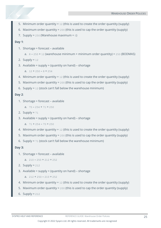- 5. Minimum order quantity =  $12$  (this is used to create the order quantity (supply)
- 6. Maximum order quantity =  $200$  (this is used to cap the order quantity (supply)
- 7. Supply =  $250$  (Warehouse maximum =  $0$ )

**Day 1**:

- 1. Shortage = forecast available
	- a.  $8 250 + 12$  (warehouse minimum + minimum order quantity) =  $250$  (BODMAS)
- 2. Supply =  $12$
- 3. Available = supply + (quantity on hand) shortage

a.  $12 + 250 - 8 = 254$ 

- 4. Minimum order quantity = 12 (this is used to create the order quantity (supply)
- 5. Maximum order quantity = 200 (this is used to cap the order quantity (supply)
- 6. Supply = 12 (stock can't fall below the warehouse minimum)

#### **Day 2**:

- 1. Shortage = forecast available
	- a.  $75 254 + 71 = 250$
- 2. Supply =  $71$
- 3. Available = supply + (quantity on hand) shortage

a.  $71 + 254 - 75 = 250$ 

- 4. Minimum order quantity = 12 (this is used to create the order quantity (supply)
- 5. Maximum order quantity = 200 (this is used to cap the order quantity (supply)
- 6. Supply =  $71$  (stock can't fall below the warehouse minimum)

#### **Day 3:**

1. Shortage = forecast – available

```
a. 210 - 250 + 212 = 252
```

```
2. Supply = 212
```
3. Available = supply + (quantity on hand) – shortage

```
a. 212 + 250 - 210 = 252
```
- 4. Minimum order quantity = 12 (this is used to create the order quantity (supply)
- 5. Maximum order quantity = 200 (this is used to cap the order quantity (supply)
- 6. Supply =  $212$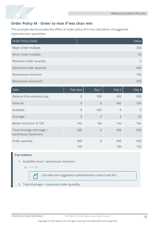

#### **Order Policy M - Order to max if less than min**

This example demonstrates the effect of order policy M in the calculation of suggested replenishment quantities:

| Order Policy Fields    | Value    |
|------------------------|----------|
| Major order multiple   | 250      |
| Minor order multiple   | 50       |
| Minimum order quantity | $\Omega$ |
| Maximum order quantity | 400      |
| Warehouse minimum      | 100      |
| Warehouse maximum      | 500      |

| Data                                             | Past due       | Day 1          | Day 2          | Day 3      |
|--------------------------------------------------|----------------|----------------|----------------|------------|
| Balance from previous day                        | $\overline{0}$ | 500            | 492            | 500        |
| Forecast                                         | $\overline{0}$ | 8              | 492            | 550        |
| Available                                        | $\Omega$       | 492            | $\overline{0}$ | $\Omega$   |
| Shortage                                         | $\overline{0}$ | $\overline{0}$ | $\overline{0}$ | 50         |
| Below minimum of 100                             | Yes            | <b>No</b>      | Yes            | <b>Yes</b> |
| Total shortage (shortage +<br>warehouse maximum) | 500            | $\overline{0}$ | 500            | 550        |
| Order quantity                                   | 400            | $\Omega$       | 400            | 400        |
|                                                  | 100            |                | 100            | 150        |

#### **FOR EXAMPLE:**

- 1. Available stock < warehouse minimum
	- a.  $0 < 100$

码

Calculate the suggested replenishment orders (rule M1).

2. Total shortage > maximum order quantity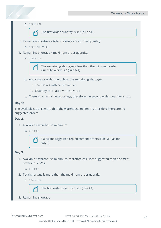a.  $500 \geq 400$ 



The first order quantity is 400 (rule A4).

3. Remaining shortage = total shortage - first order quantity

```
a. 500 - 400 = 100
```
- 4. Remaining shortage < maximum order quantity:
	- a.  $100 < 400$

The remaining shortage is less than the minimum order quantity, which is 0 (rule M4).

- b. Apply major order multiple to the remaining shortage:
	- i.  $100 / 50 = 2$  with no remainder
	- ii. Quantity calculated =  $2 \times 50 = 100$
- c. There is no remaining shortage, therefore the second order quantity is 100.

#### **Day 1:**

The available stock is more than the warehouse minimum, therefore there are no suggested orders.

#### **Day 2**:

- 1. Available < warehouse minimum.
	- a.  $0 < 100$



Calculate suggested replenishment orders (rule M1) as for day 1.

#### **Day 3:**

1. Available < warehouse minimum, therefore calculate suggested replenishment orders (rule M1).

```
a. 0 < 100
```
- 2. Total shortage is more than the maximum order quantity
	- a.  $550 > 400$



The first order quantity is 400 (rule A4).

3. Remaining shortage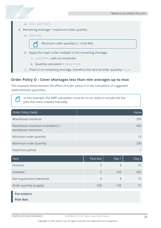- a.  $550 400 = 150$
- 4. Remaining shortage < maximum order quantity
	- a.  $150 \le 400$



Minimum order quantity is 0 (rule M4).

- b. Apply the major order multiple to the remaining shortage:
	- i.  $150 / 50 = 3$  with no remainder
	- ii. Quantity calculated =  $3 \times 50 = 150$
- c. There is no remaining shortage, therefore the second order quantity = 150.

#### **Order Policy O - Cover shortages less than min overages up to max**

This example demonstrates the effect of order policy O in the calculation of suggested replenishment quantities:

> In this example, the MRP calculation must be re-run daily to include the live jobs that were created manually.

| Order Policy Fields                                  | Value |
|------------------------------------------------------|-------|
| Warehouse minimum                                    | 250   |
| Warehouse maximum (mandatory ><br>warehouse minimum) | 400   |
| Minimum order quantity                               | 12    |
| Maximum order quantity                               | 200   |
| Fixed time period                                    |       |

| Data                     | Past due | Day 1 | Day 2 |
|--------------------------|----------|-------|-------|
| Forecast                 | 0        | 8     | 75    |
| Available                | $\Omega$ | 250   | 392   |
| Net requirement (demand) | $\Omega$ | 8     | 75    |
| Order quantity (supply)  | 250      | 150   |       |
| <b>FOR EXAMPLE:</b>      |          |       |       |

**Past due:**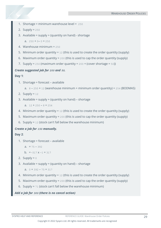- 1. Shortage = minimum warehouse level =  $250$
- 2. Supply =  $250$
- 3. Available = supply  $+$  (quantity on hand) shortage

a.  $250 + 0 - 0 = 250$ 

- 4. Warehouse minimum = 250
- 5. Minimum order quantity = 12 (this is used to create the order quantity (supply)
- 6. Maximum order quantity = 200 (this is used to cap the order quantity (supply)
- 7. Supply =  $250$  (maximum order quantity =  $200 +$  (cover shortage =  $50$ ))

#### *Create suggested job for 200 and 50.*

#### **Day 1**:

1. Shortage = forecast – available

```
a. 8 - 250 + 12 (warehouse minimum + minimum order quantity) = 254 (BODMAS)
```
- 2. Supply =  $12$
- 3. Available = supply + (quantity on hand) shortage

a.  $12 + 250 - 8 = 254$ 

- 4. Minimum order quantity = 12 (this is used to create the order quantity (supply)
- 5. Maximum order quantity = 200 (this is used to cap the order quantity (supply)
- 6. Supply =  $12$  (stock can't fall below the warehouse minimum)

#### *Create a job for 150 manually.*

#### **Day 2**:

- 1. Shortage = forecast available
	- a.  $= 75 392$

```
b. = -317 \times -1 = 317
```
- 2. Supply =  $0$
- 3. Available = supply + (quantity on hand) shortage

```
a. 0 + 392 - 75 = 317
```
- 4. Minimum order quantity = 12 (this is used to create the order quantity (supply)
- 5. Maximum order quantity = 200 (this is used to cap the order quantity (supply)
- 6. Supply = 71 (stock can't fall below the warehouse minimum)

#### *Add a job for 300 (there is no cancel action)*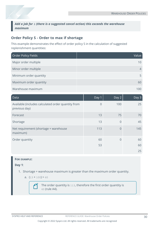*Add a job for 1 (there is a suggested cancel action) this exceeds the warehouse maximum*

#### **Order Policy S - Order to max if shortage**

This example demonstrates the effect of order policy S in the calculation of suggested replenishment quantities:

| Order Policy Fields    | Value |
|------------------------|-------|
| Major order multiple   | 10    |
| Minor order multiple   | 4     |
| Minimum order quantity | 5     |
| Maximum order quantity | 60    |
| Warehouse maximum      | 100   |

| Data                                                                | Day 1          | Day 2          | Day 3 |
|---------------------------------------------------------------------|----------------|----------------|-------|
| Available (includes calculated order quantity from<br>previous day) | $\overline{0}$ | 100            | 25    |
| Forecast                                                            | 13             | 75             | 70    |
| Shortage                                                            | 13             | $\overline{0}$ | 45    |
| Net requirement (shortage + warehouse<br>maximum)                   | 113            | 0              | 145   |
| Order quantity                                                      | 60             | 0              | 60    |
|                                                                     | 53             |                | 60    |
|                                                                     |                |                | 25    |

#### **FOR EXAMPLE:**

**Day 1**:

- 1. Shortage + warehouse maximum is greater than the maximum order quantity.
	- a.  $(13 + 100) > 60$

The order quantity is 113, therefore the first order quantity is 60 (rule A4).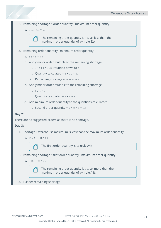- 2. Remaining shortage = order quantity maximum order quantity
	- a. 113 60 = 53



The remaining order quantity is 53, i.e. less than the maximum order quantity of 60 (rule S2).

- 3. Remaining order quantity minimum order quantity
	- a.  $53 5 = 48$
	- b. Apply major order multiple to the remaining shortage:
		- i.  $48 / 10 = 4.8$  (rounded down to 4)
		- ii. Quantity calculated =  $4 \times 10 = 40$
		- iii. Remaining shortage =  $48 40 = 8$
	- c. Apply minor order multiple to the remaining shortage:
		- i.  $8 / 4 = 2$
		- ii. Quantity calculated =  $2 \times 4 = 8$
	- d. Add minimum order quantity to the quantities calculated:
		- i. Second order quantity =  $0 + 8 + 5 = 53$

#### **Day 2:**

There are no suggested orders as there is no shortage.

#### **Day 3:**

- 1. Shortage + warehouse maximum is less than the maximum order quantity.
	- a.  $(45 + 100) > 60$



The first order quantity is 60 (rule A4).

- 2. Remaining shortage = first order quantity maximum order quantity
	- a.  $145 60 = 85$



The remaining order quantity is 85, i.e. more than the maximum order quantity of 60 (rule A4).

3. Further remaining shortage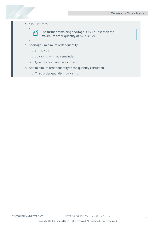#### a.  $145 - 120 = 25$



The further remaining shortage is 25, i.e. less than the maximum order quantity of 60 (rule S2).

- b. Shortage minimum order quantity:
	- i.  $25 5 = 20$
	- ii.  $20 / 10 = 2$  with no remainder
	- iii. Quantity calculated =  $2 \times 10 = 20$
- c. Add minimum order quantity to the quantity calculated:
	- i. Third order quantity =  $20 + 5 = 25$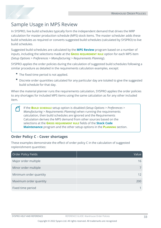

# Sample Usage in MPS Review

In SYSPRO, live build schedules typically form the independent demand that drives the MRP calculation for master production schedule (MPS) stock items. The master scheduler adds these build schedules as required or converts suggested build schedules (calculated by SYSPRO) to live build schedules.

Suggested build schedules are calculated by the **MPS Review** program based on a number of inputs, including the selections made at the **GROSS REQUIREMENT RULE** option for each MPS item (*Setup Options > Preferences > Manufacturing > Requirements Planning*).

SYSPRO applies the order policies during the calculation of suggested build schedules following a similar procedure as detailed in the requirements calculation examples, except:

- The fixed time period is not applied.
- Discrete order quantities calculated for any particular day are totaled to give the suggested build schedule for that day.

When the material planner runs the requirements calculation, SYSPRO applies the order policies to any shortages for included MPS items using the same calculation as for any other included item.

If the **BUILD SCHEDULE** setup option is disabled (*Setup Options > Preferences > Manufacturing > Requirements Planning*) when running the requirements calculation, then build schedules are ignored and the Requirements Calculation derives the MPS demand from other sources based on the selections at the **GROSS REQUIREMENT RULE** fields of the **Stock Code Maintenance** program and the other setup options in the **PLANNING** section.

#### **Order Policy C - Cover shortages**

These examples demonstrate the effect of order policy C in the calculation of suggested replenishment quantities:

| Order Policy Fields    | Value           |
|------------------------|-----------------|
| Major order multiple   | 16              |
| Minor order multiple   |                 |
| Minimum order quantity | 12 <sup>°</sup> |
| Maximum order quantity | 200             |
| Fixed time period      |                 |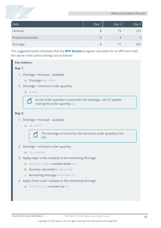| Data                | Day 1 | Day 2 | Day 3 |
|---------------------|-------|-------|-------|
| Forecast            |       | 75    | 210   |
| Projected available |       | 4     |       |
| Shortage            |       |       | 207   |

The suggested build schedules that the **MPS Review** program calculates for an MPS item with the above order policy settings are as follows:

#### **FOR EXAMPLE:**

#### **Day 1**:

- 1. Shortage = forecast available
	- a. Shortage =  $8 0 = 8$
- 2. Shortage < minimum order quantity
	- a.  $8 < 12$

As the order quantity is more than the shortage, rule C2 applies making the order quantity 12.

#### **Day 2:**

- 1. Shortage = forecast available
	- a.  $75 4 = 7$



The shortage is more than the minimum order quantity (rule C3).

2. Shortage - minimum order quantity

```
a. 71 - 12 = 59
```
- 3. Apply major order multiple to the remaining shortage:
	- a.  $59 / 16 = 3.6875$  rounded down = 3
	- b. Quantity calculated =  $3 \times 16 = 48$
	- c. Remaining shortage =  $59 48 = 11$
- 4. Apply minor order multiple to the remaining shortage:
	- a.  $11 / 7 = 1.571$  rounded up = 2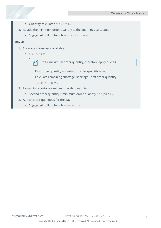- b. Quantity calculated =  $2 \times 7 = 14$
- 5. Re-add the minimum order quantity to the quantities calculated
	- a. Suggested build schedule =  $48 + 14 + 12 = 74$

#### **Day 3:**

- 1. Shortage = forecast available
	- a.  $210 3 = 207$

207 > maximum order quantity, therefore apply rule A4.

- i. First order quantity = maximum order quantity =  $200$
- ii. Calculate remaining shortage: shortage first order quantity

a.  $207 - 200 = 7$ 

- 2. Remaining shortage < minimum order quantity.
	- a. Second order quantity = minimum order quantity =  $12$  (rule C2)
- 3. Add all order quantities for the day
	- a. Suggested build schedule =  $200 + 12 = 212$

Copyright © 2022 Syspro Ltd. All rights reserved. All trademarks are recognized